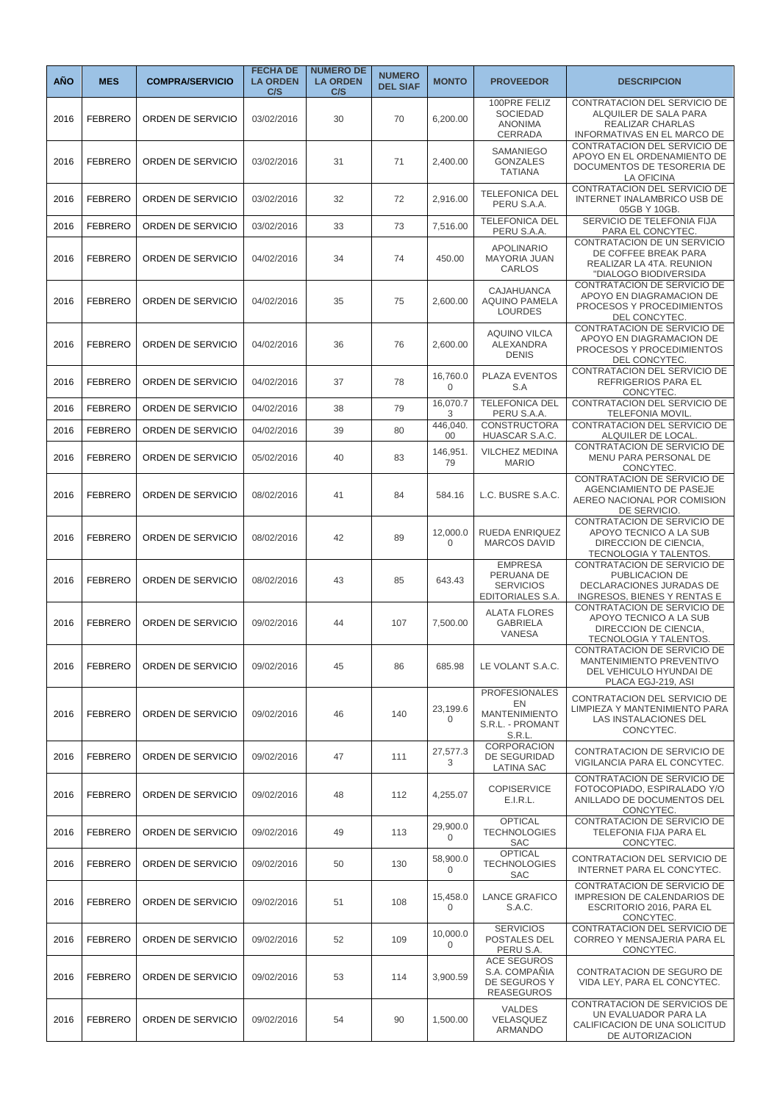| <b>AÑO</b> | <b>MES</b>     | <b>COMPRA/SERVICIO</b> | <b>FECHA DE</b><br><b>LA ORDEN</b><br>C/S | <b>NUMERO DE</b><br><b>LA ORDEN</b><br>C/S | <b>NUMERO</b><br><b>DEL SIAF</b> | <b>MONTO</b>            | <b>PROVEEDOR</b>                                                                 | <b>DESCRIPCION</b>                                                                                              |
|------------|----------------|------------------------|-------------------------------------------|--------------------------------------------|----------------------------------|-------------------------|----------------------------------------------------------------------------------|-----------------------------------------------------------------------------------------------------------------|
| 2016       | <b>FEBRERO</b> | ORDEN DE SERVICIO      | 03/02/2016                                | 30                                         | 70                               | 6,200.00                | 100PRE FELIZ<br><b>SOCIEDAD</b><br><b>ANONIMA</b><br>CERRADA                     | CONTRATACION DEL SERVICIO DE<br>ALQUILER DE SALA PARA<br>REALIZAR CHARLAS<br>INFORMATIVAS EN EL MARCO DE        |
| 2016       | <b>FEBRERO</b> | ORDEN DE SERVICIO      | 03/02/2016                                | 31                                         | 71                               | 2,400.00                | SAMANIEGO<br><b>GONZALES</b><br><b>TATIANA</b>                                   | CONTRATACION DEL SERVICIO DE<br>APOYO EN EL ORDENAMIENTO DE<br>DOCUMENTOS DE TESORERIA DE<br>LA OFICINA         |
| 2016       | <b>FEBRERO</b> | ORDEN DE SERVICIO      | 03/02/2016                                | 32                                         | 72                               | 2,916.00                | <b>TELEFONICA DEL</b><br>PERU S.A.A.                                             | CONTRATACION DEL SERVICIO DE<br><b>INTERNET INALAMBRICO USB DE</b><br>05GB Y 10GB.                              |
| 2016       | <b>FEBRERO</b> | ORDEN DE SERVICIO      | 03/02/2016                                | 33                                         | 73                               | 7,516.00                | <b>TELEFONICA DEL</b><br>PERU S.A.A.                                             | SERVICIO DE TELEFONIA FIJA<br>PARA EL CONCYTEC.                                                                 |
| 2016       | <b>FEBRERO</b> | ORDEN DE SERVICIO      | 04/02/2016                                | 34                                         | 74                               | 450.00                  | <b>APOLINARIO</b><br><b>MAYORIA JUAN</b><br>CARLOS                               | CONTRATACION DE UN SERVICIO<br>DE COFFEE BREAK PARA<br>REALIZAR LA 4TA. REUNION<br>"DIALOGO BIODIVERSIDA        |
| 2016       | <b>FEBRERO</b> | ORDEN DE SERVICIO      | 04/02/2016                                | 35                                         | 75                               | 2,600.00                | <b>CAJAHUANCA</b><br><b>AQUINO PAMELA</b><br><b>LOURDES</b>                      | CONTRATACION DE SERVICIO DE<br>APOYO EN DIAGRAMACION DE<br>PROCESOS Y PROCEDIMIENTOS<br>DEL CONCYTEC.           |
| 2016       | <b>FEBRERO</b> | ORDEN DE SERVICIO      | 04/02/2016                                | 36                                         | 76                               | 2,600.00                | <b>AQUINO VILCA</b><br><b>ALEXANDRA</b><br><b>DENIS</b>                          | CONTRATACION DE SERVICIO DE<br>APOYO EN DIAGRAMACION DE<br>PROCESOS Y PROCEDIMIENTOS<br>DEL CONCYTEC.           |
| 2016       | <b>FEBRERO</b> | ORDEN DE SERVICIO      | 04/02/2016                                | 37                                         | 78                               | 16,760.0<br>$\mathbf 0$ | PLAZA EVENTOS<br>S.A                                                             | CONTRATACION DEL SERVICIO DE<br><b>REFRIGERIOS PARA EL</b><br>CONCYTEC.                                         |
| 2016       | <b>FEBRERO</b> | ORDEN DE SERVICIO      | 04/02/2016                                | 38                                         | 79                               | 16,070.7<br>3           | <b>TELEFONICA DEL</b><br>PERU S.A.A.                                             | CONTRATACION DEL SERVICIO DE<br>TELEFONIA MOVIL.                                                                |
| 2016       | <b>FEBRERO</b> | ORDEN DE SERVICIO      | 04/02/2016                                | 39                                         | 80                               | 446,040.<br>$00\,$      | <b>CONSTRUCTORA</b><br>HUASCAR S.A.C.                                            | CONTRATACION DEL SERVICIO DE<br>ALQUILER DE LOCAL                                                               |
| 2016       | <b>FEBRERO</b> | ORDEN DE SERVICIO      | 05/02/2016                                | 40                                         | 83                               | 146,951.<br>79          | VILCHEZ MEDINA<br><b>MARIO</b>                                                   | CONTRATACION DE SERVICIO DE<br>MENU PARA PERSONAL DE<br>CONCYTEC.                                               |
| 2016       | <b>FEBRERO</b> | ORDEN DE SERVICIO      | 08/02/2016                                | 41                                         | 84                               | 584.16                  | L.C. BUSRE S.A.C.                                                                | CONTRATACION DE SERVICIO DE<br>AGENCIAMIENTO DE PASEJE<br>AEREO NACIONAL POR COMISION<br>DE SERVICIO            |
| 2016       | <b>FEBRERO</b> | ORDEN DE SERVICIO      | 08/02/2016                                | 42                                         | 89                               | 12,000.0<br>$\mathbf 0$ | RUEDA ENRIQUEZ<br><b>MARCOS DAVID</b>                                            | CONTRATACION DE SERVICIO DE<br>APOYO TECNICO A LA SUB<br>DIRECCION DE CIENCIA,<br>TECNOLOGIA Y TALENTOS.        |
| 2016       | <b>FEBRERO</b> | ORDEN DE SERVICIO      | 08/02/2016                                | 43                                         | 85                               | 643.43                  | <b>EMPRESA</b><br>PERUANA DE<br><b>SERVICIOS</b><br>EDITORIALES S.A.             | CONTRATACION DE SERVICIO DE<br>PUBLICACION DE<br>DECLARACIONES JURADAS DE<br><b>INGRESOS, BIENES Y RENTAS E</b> |
| 2016       | <b>FEBRERO</b> | ORDEN DE SERVICIO      | 09/02/2016                                | 44                                         | 107                              | 7.500.00                | <b>ALATA FLORES</b><br><b>GABRIELA</b><br>VANESA                                 | CONTRATACION DE SERVICIO DE<br>APOYO TECNICO A LA SUB<br>DIRECCION DE CIENCIA,<br>TECNOLOGIA Y TALENTOS.        |
| 2016       | <b>FEBRERO</b> | ORDEN DE SERVICIO      | 09/02/2016                                | 45                                         | 86                               | 685.98                  | LE VOLANT S.A.C.                                                                 | CONTRATACION DE SERVICIO DE<br>MANTENIMIENTO PREVENTIVO<br>DEL VEHICULO HYUNDAI DE<br>PLACA EGJ-219, ASI        |
| 2016       | <b>FEBRERO</b> | ORDEN DE SERVICIO      | 09/02/2016                                | 46                                         | 140                              | 23,199.6<br>$\mathbf 0$ | <b>PROFESIONALES</b><br>EN<br><b>MANTENIMIENTO</b><br>S.R.L. - PROMANT<br>S.R.L. | CONTRATACION DEL SERVICIO DE<br>LIMPIEZA Y MANTENIMIENTO PARA<br>LAS INSTALACIONES DEL<br>CONCYTEC.             |
| 2016       | <b>FEBRERO</b> | ORDEN DE SERVICIO      | 09/02/2016                                | 47                                         | 111                              | 27,577.3<br>3           | CORPORACION<br>DE SEGURIDAD<br><b>LATINA SAC</b>                                 | CONTRATACION DE SERVICIO DE<br>VIGILANCIA PARA EL CONCYTEC.                                                     |
| 2016       | <b>FEBRERO</b> | ORDEN DE SERVICIO      | 09/02/2016                                | 48                                         | 112                              | 4,255.07                | <b>COPISERVICE</b><br>E.I.R.L.                                                   | CONTRATACION DE SERVICIO DE<br>FOTOCOPIADO, ESPIRALADO Y/O<br>ANILLADO DE DOCUMENTOS DEL<br>CONCYTEC.           |
| 2016       | <b>FEBRERO</b> | ORDEN DE SERVICIO      | 09/02/2016                                | 49                                         | 113                              | 29,900.0<br>0           | <b>OPTICAL</b><br><b>TECHNOLOGIES</b><br>SAC                                     | CONTRATACION DE SERVICIO DE<br>TELEFONIA FIJA PARA EL<br>CONCYTEC.                                              |
| 2016       | <b>FEBRERO</b> | ORDEN DE SERVICIO      | 09/02/2016                                | 50                                         | 130                              | 58,900.0<br>$\Omega$    | <b>OPTICAL</b><br><b>TECHNOLOGIES</b><br><b>SAC</b>                              | CONTRATACION DEL SERVICIO DE<br>INTERNET PARA EL CONCYTEC.                                                      |
| 2016       | <b>FEBRERO</b> | ORDEN DE SERVICIO      | 09/02/2016                                | 51                                         | 108                              | 15,458.0<br>0           | <b>LANCE GRAFICO</b><br>S.A.C.                                                   | CONTRATACION DE SERVICIO DE<br>IMPRESION DE CALENDARIOS DE<br>ESCRITORIO 2016, PARA EL<br>CONCYTEC.             |
| 2016       | <b>FEBRERO</b> | ORDEN DE SERVICIO      | 09/02/2016                                | 52                                         | 109                              | 10,000.0<br>0           | <b>SERVICIOS</b><br>POSTALES DEL<br>PERU S.A.                                    | CONTRATACION DEL SERVICIO DE<br>CORREO Y MENSAJERIA PARA EL<br>CONCYTEC.                                        |
| 2016       | <b>FEBRERO</b> | ORDEN DE SERVICIO      | 09/02/2016                                | 53                                         | 114                              | 3,900.59                | <b>ACE SEGUROS</b><br>S.A. COMPANIA<br>DE SEGUROS Y<br><b>REASEGUROS</b>         | CONTRATACION DE SEGURO DE<br>VIDA LEY, PARA EL CONCYTEC.                                                        |
| 2016       | <b>FEBRERO</b> | ORDEN DE SERVICIO      | 09/02/2016                                | 54                                         | 90                               | 1,500.00                | VALDES<br>VELASQUEZ<br>ARMANDO                                                   | CONTRATACION DE SERVICIOS DE<br>UN EVALUADOR PARA LA<br>CALIFICACION DE UNA SOLICITUD<br>DE AUTORIZACION        |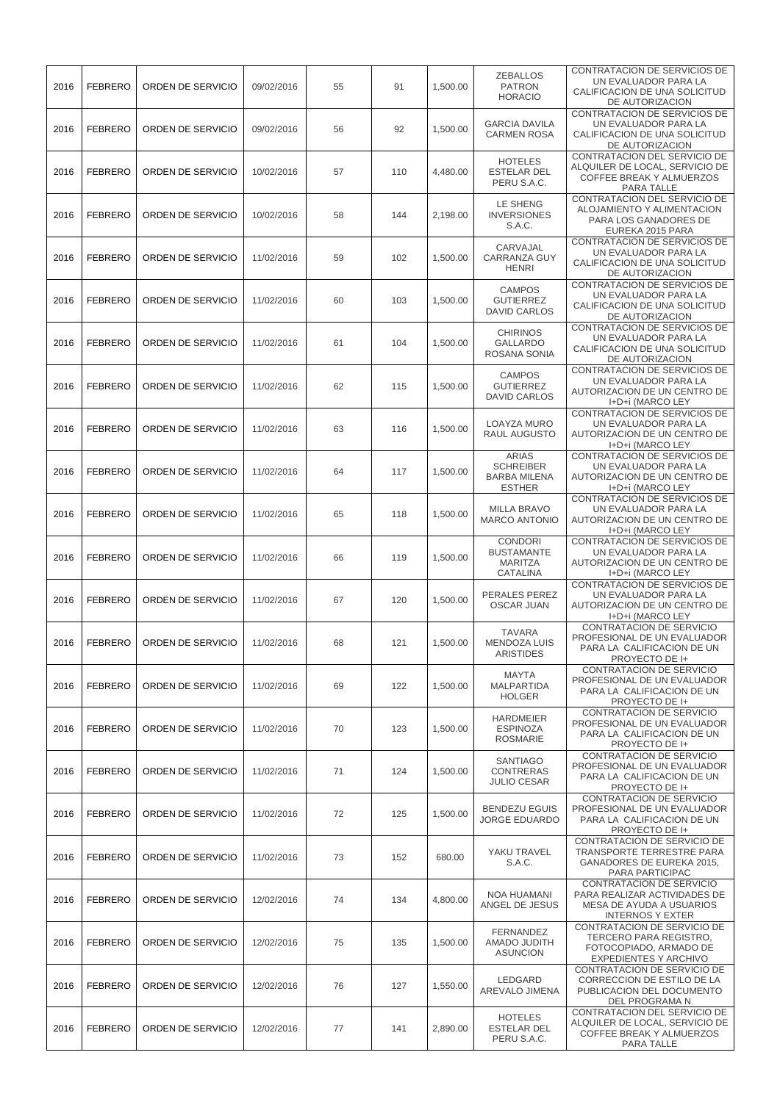| 2016 | <b>FEBRERO</b> | ORDEN DE SERVICIO | 09/02/2016 | 55 | 91  | 1,500.00 | <b>ZEBALLOS</b><br><b>PATRON</b><br><b>HORACIO</b>                       | CONTRATACION DE SERVICIOS DE<br>UN EVALUADOR PARA LA<br>CALIFICACION DE UNA SOLICITUD<br>DE AUTORIZACION        |
|------|----------------|-------------------|------------|----|-----|----------|--------------------------------------------------------------------------|-----------------------------------------------------------------------------------------------------------------|
| 2016 | <b>FEBRERO</b> | ORDEN DE SERVICIO | 09/02/2016 | 56 | 92  | 1,500.00 | <b>GARCIA DAVILA</b><br><b>CARMEN ROSA</b>                               | CONTRATACION DE SERVICIOS DE<br>UN EVALUADOR PARA LA<br>CALIFICACION DE UNA SOLICITUD<br>DE AUTORIZACION        |
| 2016 | <b>FEBRERO</b> | ORDEN DE SERVICIO | 10/02/2016 | 57 | 110 | 4,480.00 | <b>HOTELES</b><br><b>ESTELAR DEL</b><br>PERU S.A.C.                      | CONTRATACION DEL SERVICIO DE<br>ALQUILER DE LOCAL, SERVICIO DE<br>COFFEE BREAK Y ALMUERZOS<br>PARA TALLE        |
| 2016 | <b>FEBRERO</b> | ORDEN DE SERVICIO | 10/02/2016 | 58 | 144 | 2,198.00 | LE SHENG<br><b>INVERSIONES</b><br>S.A.C.                                 | CONTRATACION DEL SERVICIO DE<br>ALOJAMIENTO Y ALIMENTACION<br>PARA LOS GANADORES DE<br>EUREKA 2015 PARA         |
| 2016 | <b>FEBRERO</b> | ORDEN DE SERVICIO | 11/02/2016 | 59 | 102 | 1,500.00 | CARVAJAL<br><b>CARRANZA GUY</b><br><b>HENRI</b>                          | CONTRATACION DE SERVICIOS DE<br>UN EVALUADOR PARA LA<br>CALIFICACION DE UNA SOLICITUD<br>DE AUTORIZACION        |
| 2016 | <b>FEBRERO</b> | ORDEN DE SERVICIO | 11/02/2016 | 60 | 103 | 1,500.00 | <b>CAMPOS</b><br><b>GUTIERREZ</b><br><b>DAVID CARLOS</b>                 | CONTRATACION DE SERVICIOS DE<br>UN EVALUADOR PARA LA<br>CALIFICACION DE UNA SOLICITUD<br>DE AUTORIZACION        |
| 2016 | <b>FEBRERO</b> | ORDEN DE SERVICIO | 11/02/2016 | 61 | 104 | 1,500.00 | <b>CHIRINOS</b><br><b>GALLARDO</b><br>ROSANA SONIA                       | CONTRATACION DE SERVICIOS DE<br>UN EVALUADOR PARA LA<br>CALIFICACION DE UNA SOLICITUD<br>DE AUTORIZACION        |
| 2016 | <b>FEBRERO</b> | ORDEN DE SERVICIO | 11/02/2016 | 62 | 115 | 1.500.00 | <b>CAMPOS</b><br><b>GUTIERREZ</b><br><b>DAVID CARLOS</b>                 | CONTRATACION DE SERVICIOS DE<br>UN EVALUADOR PARA LA<br><b>AUTORIZACION DE UN CENTRO DE</b><br>I+D+i (MARCO LEY |
| 2016 | <b>FEBRERO</b> | ORDEN DE SERVICIO | 11/02/2016 | 63 | 116 | 1,500.00 | LOAYZA MURO<br>RAUL AUGUSTO                                              | CONTRATACION DE SERVICIOS DE<br>UN EVALUADOR PARA LA<br>AUTORIZACION DE UN CENTRO DE<br>I+D+i (MARCO LEY        |
| 2016 | <b>FEBRERO</b> | ORDEN DE SERVICIO | 11/02/2016 | 64 | 117 | 1,500.00 | <b>ARIAS</b><br><b>SCHREIBER</b><br><b>BARBA MILENA</b><br><b>ESTHER</b> | CONTRATACION DE SERVICIOS DE<br>UN EVALUADOR PARA LA<br>AUTORIZACION DE UN CENTRO DE<br>I+D+i (MARCO LEY        |
| 2016 | <b>FEBRERO</b> | ORDEN DE SERVICIO | 11/02/2016 | 65 | 118 | 1,500.00 | <b>MILLA BRAVO</b><br><b>MARCO ANTONIO</b>                               | CONTRATACION DE SERVICIOS DE<br>UN EVALUADOR PARA LA<br>AUTORIZACION DE UN CENTRO DE<br>I+D+i (MARCO LEY        |
| 2016 | <b>FEBRERO</b> | ORDEN DE SERVICIO | 11/02/2016 | 66 | 119 | 1,500.00 | <b>CONDORI</b><br><b>BUSTAMANTE</b><br><b>MARITZA</b><br>CATALINA        | CONTRATACION DE SERVICIOS DE<br>UN EVALUADOR PARA LA<br>AUTORIZACION DE UN CENTRO DE<br>I+D+i (MARCO LEY        |
| 2016 | <b>FEBRERO</b> | ORDEN DE SERVICIO | 11/02/2016 | 67 | 120 | 1.500.00 | PERALES PEREZ<br>OSCAR JUAN                                              | CONTRATACION DE SERVICIOS DE<br>UN EVALUADOR PARA LA<br>AUTORIZACION DE UN CENTRO DE<br>I+D+i (MARCO LEY        |
| 2016 | <b>FEBRERO</b> | ORDEN DE SERVICIO | 11/02/2016 | 68 | 121 | 1,500.00 | <b>TAVARA</b><br><b>MENDOZA LUIS</b><br><b>ARISTIDES</b>                 | CONTRATACION DE SERVICIO<br>PROFESIONAL DE UN EVALUADOR<br>PARA LA CALIFICACION DE UN<br>PROYECTO DE I+         |
| 2016 | <b>FEBRERO</b> | ORDEN DE SERVICIO | 11/02/2016 | 69 | 122 | 1.500.00 | <b>MAYTA</b><br>MALPARTIDA<br><b>HOLGER</b>                              | <b>CONTRATACION DE SERVICIO</b><br>PROFESIONAL DE UN EVALUADOR<br>PARA LA CALIFICACION DE UN<br>PROYECTO DE I+  |
| 2016 | <b>FEBRERO</b> | ORDEN DE SERVICIO | 11/02/2016 | 70 | 123 | 1,500.00 | <b>HARDMEIER</b><br><b>ESPINOZA</b><br><b>ROSMARIE</b>                   | CONTRATACION DE SERVICIO<br>PROFESIONAL DE UN EVALUADOR<br>PARA LA CALIFICACION DE UN<br>PROYECTO DE I+         |
| 2016 | <b>FEBRERO</b> | ORDEN DE SERVICIO | 11/02/2016 | 71 | 124 | 1,500.00 | <b>SANTIAGO</b><br><b>CONTRERAS</b><br><b>JULIO CESAR</b>                | CONTRATACION DE SERVICIO<br>PROFESIONAL DE UN EVALUADOR<br>PARA LA CALIFICACION DE UN<br>PROYECTO DE I+         |
| 2016 | <b>FEBRERO</b> | ORDEN DE SERVICIO | 11/02/2016 | 72 | 125 | 1,500.00 | <b>BENDEZU EGUIS</b><br><b>JORGE EDUARDO</b>                             | CONTRATACION DE SERVICIO<br>PROFESIONAL DE UN EVALUADOR<br>PARA LA CALIFICACION DE UN<br>PROYECTO DE I+         |
| 2016 | <b>FEBRERO</b> | ORDEN DE SERVICIO | 11/02/2016 | 73 | 152 | 680.00   | YAKU TRAVEL<br>S.A.C.                                                    | CONTRATACION DE SERVICIO DE<br><b>TRANSPORTE TERRESTRE PARA</b><br>GANADORES DE EUREKA 2015,<br>PARA PARTICIPAC |
| 2016 | <b>FEBRERO</b> | ORDEN DE SERVICIO | 12/02/2016 | 74 | 134 | 4,800.00 | NOA HUAMANI<br>ANGEL DE JESUS                                            | CONTRATACION DE SERVICIO<br>PARA REALIZAR ACTIVIDADES DE<br>MESA DE AYUDA A USUARIOS<br><b>INTERNOS Y EXTER</b> |
| 2016 | <b>FEBRERO</b> | ORDEN DE SERVICIO | 12/02/2016 | 75 | 135 | 1,500.00 | <b>FERNANDEZ</b><br>AMADO JUDITH<br><b>ASUNCION</b>                      | CONTRATACION DE SERVICIO DE<br>TERCERO PARA REGISTRO,<br>FOTOCOPIADO, ARMADO DE<br><b>EXPEDIENTES Y ARCHIVO</b> |
| 2016 | <b>FEBRERO</b> | ORDEN DE SERVICIO | 12/02/2016 | 76 | 127 | 1,550.00 | LEDGARD<br>AREVALO JIMENA                                                | CONTRATACION DE SERVICIO DE<br>CORRECCION DE ESTILO DE LA<br>PUBLICACION DEL DOCUMENTO<br>DEL PROGRAMA N        |
| 2016 | <b>FEBRERO</b> | ORDEN DE SERVICIO | 12/02/2016 | 77 | 141 | 2,890.00 | <b>HOTELES</b><br><b>ESTELAR DEL</b><br>PERU S.A.C.                      | CONTRATACION DEL SERVICIO DE<br>ALQUILER DE LOCAL, SERVICIO DE<br>COFFEE BREAK Y ALMUERZOS<br>PARA TALLE        |